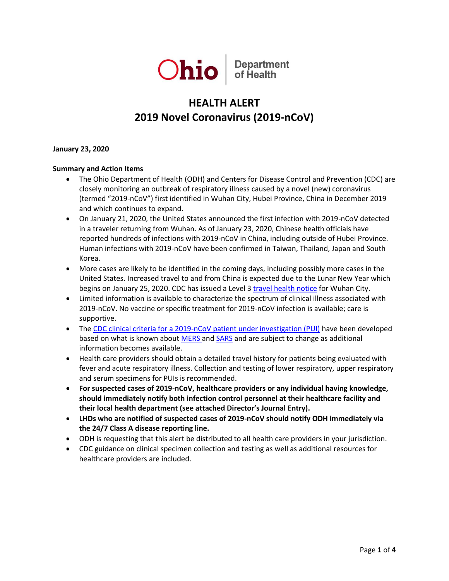

# **HEALTH ALERT 2019 Novel Coronavirus (2019-nCoV)**

**January 23, 2020**

## **Summary and Action Items**

- The Ohio Department of Health (ODH) and Centers for Disease Control and Prevention (CDC) are closely monitoring an outbreak of respiratory illness caused by a novel (new) coronavirus (termed "2019-nCoV") first identified in Wuhan City, Hubei Province, China in December 2019 and which continues to expand.
- On January 21, 2020, the United States announced the first infection with 2019-nCoV detected in a traveler returning from Wuhan. As of January 23, 2020, Chinese health officials have reported hundreds of infections with 2019-nCoV in China, including outside of Hubei Province. Human infections with 2019-nCoV have been confirmed in Taiwan, Thailand, Japan and South Korea.
- More cases are likely to be identified in the coming days, including possibly more cases in the United States. Increased travel to and from China is expected due to the Lunar New Year which begins on January 25, 2020. CDC has issued a Level 3 [travel health notice](https://wwwnc.cdc.gov/travel/notices/warning/novel-coronavirus-wuhan-china) for Wuhan City.
- Limited information is available to characterize the spectrum of clinical illness associated with 2019-nCoV. No vaccine or specific treatment for 2019-nCoV infection is available; care is supportive.
- The [CDC clinical criteria for a 2019-nCoV patient under investigation \(PUI\)](https://www.cdc.gov/coronavirus/2019-ncov/clinical-criteria.html) have been developed based on what is known about [MERS](https://www.cdc.gov/coronavirus/mers/index.html) an[d SARS](https://www.cdc.gov/sars/index.html) and are subject to change as additional information becomes available.
- Health care providers should obtain a detailed travel history for patients being evaluated with fever and acute respiratory illness. Collection and testing of lower respiratory, upper respiratory and serum specimens for PUIs is recommended.
- **For suspected cases of 2019-nCoV, healthcare providers or any individual having knowledge, should immediately notify both infection control personnel at their healthcare facility and their local health department (see attached Director's Journal Entry).**
- **LHDs who are notified of suspected cases of 2019-nCoV should notify ODH immediately via the 24/7 Class A disease reporting line.**
- ODH is requesting that this alert be distributed to all health care providers in your jurisdiction.
- CDC guidance on clinical specimen collection and testing as well as additional resources for healthcare providers are included.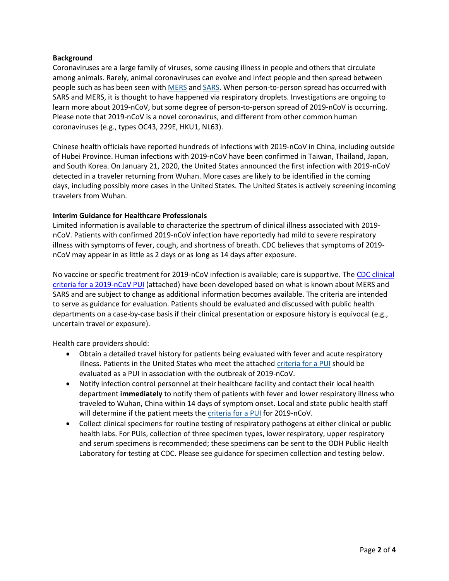### **Background**

Coronaviruses are a large family of viruses, some causing illness in people and others that circulate among animals. Rarely, animal coronaviruses can evolve and infect people and then spread between people such as has been seen with [MERS](https://www.cdc.gov/coronavirus/mers/index.html) and [SARS.](https://www.cdc.gov/sars/index.html) When person-to-person spread has occurred with SARS and MERS, it is thought to have happened via respiratory droplets. Investigations are ongoing to learn more about 2019-nCoV, but some degree of person-to-person spread of 2019-nCoV is occurring. Please note that 2019-nCoV is a novel coronavirus, and different from other common human coronaviruses (e.g., types OC43, 229E, HKU1, NL63).

Chinese health officials have reported hundreds of infections with 2019-nCoV in China, including outside of Hubei Province. Human infections with 2019-nCoV have been confirmed in Taiwan, Thailand, Japan, and South Korea. On January 21, 2020, the United States announced the first infection with 2019-nCoV detected in a traveler returning from Wuhan. More cases are likely to be identified in the coming days, including possibly more cases in the United States. The United States is actively screening incoming travelers from Wuhan.

#### **Interim Guidance for Healthcare Professionals**

Limited information is available to characterize the spectrum of clinical illness associated with 2019 nCoV. Patients with confirmed 2019-nCoV infection have reportedly had mild to severe respiratory illness with symptoms of fever, cough, and shortness of breath. CDC believes that symptoms of 2019 nCoV may appear in as little as 2 days or as long as 14 days after exposure.

No vaccine or specific treatment for 2019-nCoV infection is available; care is supportive. Th[e CDC clinical](https://www.cdc.gov/coronavirus/2019-ncov/clinical-criteria.html)  [criteria for a 2019-nCoV PUI](https://www.cdc.gov/coronavirus/2019-ncov/clinical-criteria.html) (attached) have been developed based on what is known about MERS and SARS and are subject to change as additional information becomes available. The criteria are intended to serve as guidance for evaluation. Patients should be evaluated and discussed with public health departments on a case-by-case basis if their clinical presentation or exposure history is equivocal (e.g., uncertain travel or exposure).

Health care providers should:

- Obtain a detailed travel history for patients being evaluated with fever and acute respiratory illness. Patients in the United States who meet the attached [criteria for a PUI](https://www.cdc.gov/coronavirus/2019-ncov/clinical-criteria.html) should be evaluated as a PUI in association with the outbreak of 2019-nCoV.
- Notify infection control personnel at their healthcare facility and contact their local health department **immediately** to notify them of patients with fever and lower respiratory illness who traveled to Wuhan, China within 14 days of symptom onset. Local and state public health staff will determine if the patient meets the *[criteria for a PUI](https://www.cdc.gov/coronavirus/2019-ncov/clinical-criteria.html)* for 2019-nCoV.
- Collect clinical specimens for routine testing of respiratory pathogens at either clinical or public health labs. For PUIs, collection of three specimen types, lower respiratory, upper respiratory and serum specimens is recommended; these specimens can be sent to the ODH Public Health Laboratory for testing at CDC. Please see guidance for specimen collection and testing below.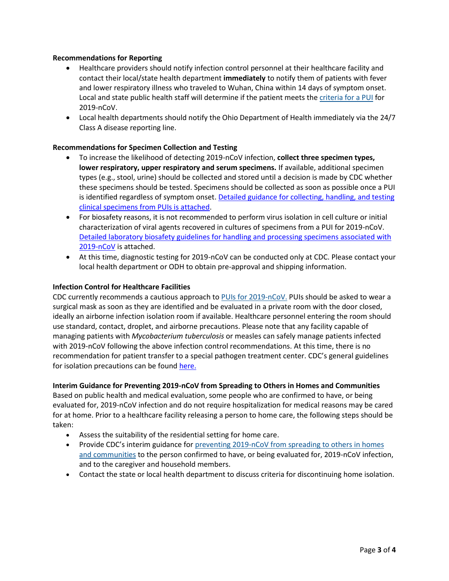### **Recommendations for Reporting**

- Healthcare providers should notify infection control personnel at their healthcare facility and contact their local/state health department **immediately** to notify them of patients with fever and lower respiratory illness who traveled to Wuhan, China within 14 days of symptom onset. Local and state public health staff will determine if the patient meets the [criteria for a PUI](https://www.cdc.gov/coronavirus/2019-ncov/clinical-criteria.html) for 2019-nCoV.
- Local health departments should notify the Ohio Department of Health immediately via the 24/7 Class A disease reporting line.

## **Recommendations for Specimen Collection and Testing**

- To increase the likelihood of detecting 2019-nCoV infection, **collect three specimen types, lower respiratory, upper respiratory and serum specimens.** If available, additional specimen types (e.g., stool, urine) should be collected and stored until a decision is made by CDC whether these specimens should be tested. Specimens should be collected as soon as possible once a PUI is identified regardless of symptom onset. Detailed guidance for collecting, handling, and testing [clinical specimens from PUIs is attached.](https://www.cdc.gov/coronavirus/2019-nCoV/guidelines-clinical-specimens.html)
- For biosafety reasons, it is not recommended to perform virus isolation in cell culture or initial characterization of viral agents recovered in cultures of specimens from a PUI for 2019-nCoV. [Detailed laboratory biosafety guidelines for handling and processing specimens associated with](https://www.cdc.gov/coronavirus/2019-nCoV/lab-biosafety-guidelines.html)  [2019-nCoV](https://www.cdc.gov/coronavirus/2019-nCoV/lab-biosafety-guidelines.html) is attached.
- At this time, diagnostic testing for 2019-nCoV can be conducted only at CDC. Please contact your local health department or ODH to obtain pre-approval and shipping information.

#### **Infection Control for Healthcare Facilities**

CDC currently recommends a cautious approach to [PUIs for 2019-nCoV.](https://www.cdc.gov/coronavirus/2019-nCoV/clinical-criteria.html) PUIs should be asked to wear a surgical mask as soon as they are identified and be evaluated in a private room with the door closed, ideally an airborne infection isolation room if available. Healthcare personnel entering the room should use standard, contact, droplet, and airborne precautions. Please note that any facility capable of managing patients with *Mycobacterium tuberculosis* or measles can safely manage patients infected with 2019-nCoV following the above infection control recommendations. At this time, there is no recommendation for patient transfer to a special pathogen treatment center. CDC's general guidelines for isolation precautions can be foun[d here.](https://www.cdc.gov/infectioncontrol/guidelines/isolation/index.html)

#### **Interim Guidance for Preventing 2019-nCoV from Spreading to Others in Homes and Communities**

Based on public health and medical evaluation, some people who are confirmed to have, or being evaluated for, 2019-nCoV infection and do not require hospitalization for medical reasons may be cared for at home. Prior to a healthcare facility releasing a person to home care, the following steps should be taken:

- Assess the suitability of the residential setting for home care.
- Provide CDC's interim guidance for preventing 2019-nCoV from spreading to others in homes [and communities](https://www.cdc.gov/coronavirus/2019-ncov/guidance-prevent-spread.html) to the person confirmed to have, or being evaluated for, 2019-nCoV infection, and to the caregiver and household members.
- Contact the state or local health department to discuss criteria for discontinuing home isolation.